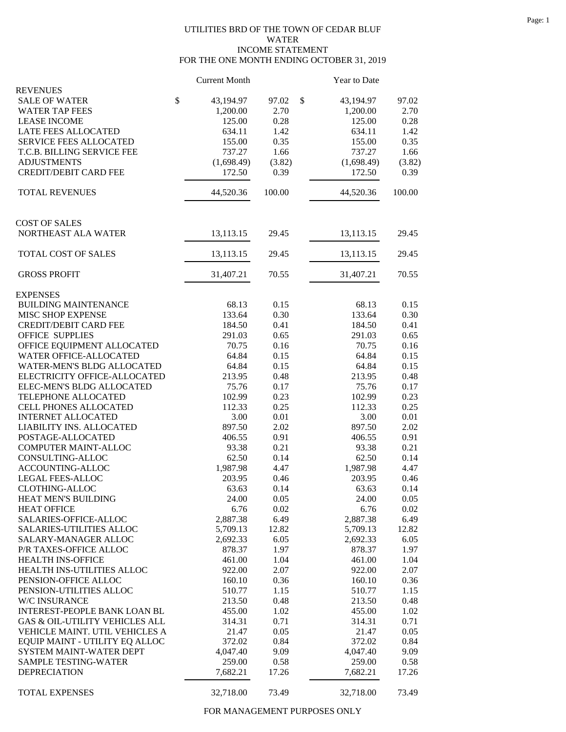## UTILITIES BRD OF THE TOWN OF CEDAR BLUF WATER INCOME STATEMENT FOR THE ONE MONTH ENDING OCTOBER 31, 2019

|                                                    | <b>Current Month</b> |               | Year to Date       |               |
|----------------------------------------------------|----------------------|---------------|--------------------|---------------|
| <b>REVENUES</b>                                    |                      |               |                    |               |
| <b>SALE OF WATER</b>                               | \$<br>43,194.97      | 97.02         | \$<br>43,194.97    | 97.02         |
| <b>WATER TAP FEES</b>                              | 1,200.00             | 2.70          | 1,200.00           | 2.70          |
| <b>LEASE INCOME</b>                                | 125.00               | 0.28          | 125.00             | 0.28          |
| LATE FEES ALLOCATED                                | 634.11               | 1.42          | 634.11             | 1.42          |
| <b>SERVICE FEES ALLOCATED</b>                      | 155.00               | 0.35          | 155.00             | 0.35          |
| T.C.B. BILLING SERVICE FEE                         | 737.27               | 1.66          | 737.27             | 1.66          |
| <b>ADJUSTMENTS</b>                                 | (1,698.49)           | (3.82)        | (1,698.49)         | (3.82)        |
| <b>CREDIT/DEBIT CARD FEE</b>                       | 172.50               | 0.39          | 172.50             | 0.39          |
| <b>TOTAL REVENUES</b>                              | 44,520.36            | 100.00        | 44,520.36          | 100.00        |
| <b>COST OF SALES</b>                               |                      |               |                    |               |
| NORTHEAST ALA WATER                                | 13,113.15            | 29.45         | 13,113.15          | 29.45         |
| TOTAL COST OF SALES                                | 13,113.15            | 29.45         | 13,113.15          | 29.45         |
| <b>GROSS PROFIT</b>                                | 31,407.21            | 70.55         | 31,407.21          | 70.55         |
| <b>EXPENSES</b>                                    |                      |               |                    |               |
| <b>BUILDING MAINTENANCE</b>                        | 68.13                | 0.15          | 68.13              | 0.15          |
| MISC SHOP EXPENSE                                  | 133.64               | 0.30          | 133.64             | 0.30          |
| <b>CREDIT/DEBIT CARD FEE</b>                       | 184.50               | 0.41          | 184.50             | 0.41          |
| <b>OFFICE SUPPLIES</b>                             | 291.03               | 0.65          | 291.03             | 0.65          |
| OFFICE EQUIPMENT ALLOCATED                         | 70.75                | 0.16          | 70.75              | 0.16          |
| WATER OFFICE-ALLOCATED                             | 64.84                | 0.15          | 64.84              | 0.15          |
| WATER-MEN'S BLDG ALLOCATED                         | 64.84                | 0.15          | 64.84              | 0.15          |
| ELECTRICITY OFFICE-ALLOCATED                       | 213.95               | 0.48          | 213.95             | 0.48          |
| ELEC-MEN'S BLDG ALLOCATED                          | 75.76                | 0.17          | 75.76              | 0.17          |
| TELEPHONE ALLOCATED                                | 102.99               | 0.23          | 102.99             | 0.23          |
| CELL PHONES ALLOCATED                              | 112.33               | 0.25          | 112.33             | 0.25          |
| <b>INTERNET ALLOCATED</b>                          | 3.00                 | 0.01          | 3.00               | 0.01          |
| LIABILITY INS. ALLOCATED                           | 897.50               | 2.02          | 897.50             | 2.02          |
| POSTAGE-ALLOCATED                                  | 406.55               | 0.91          | 406.55             | 0.91          |
| <b>COMPUTER MAINT-ALLOC</b>                        | 93.38                | 0.21          | 93.38              | 0.21          |
| CONSULTING-ALLOC                                   | 62.50                | 0.14          | 62.50              | 0.14          |
| ACCOUNTING-ALLOC                                   | 1,987.98             | 4.47          | 1,987.98           | 4.47          |
| <b>LEGAL FEES-ALLOC</b>                            | 203.95               | 0.46          | 203.95             | 0.46          |
| <b>CLOTHING-ALLOC</b>                              | 63.63                | 0.14          | 63.63              | 0.14          |
| HEAT MEN'S BUILDING                                | 24.00                | 0.05          | 24.00              | 0.05          |
| <b>HEAT OFFICE</b>                                 | 6.76                 | 0.02          | 6.76               | 0.02          |
| SALARIES-OFFICE-ALLOC                              | 2,887.38             | 6.49          | 2,887.38           | 6.49          |
| <b>SALARIES-UTILITIES ALLOC</b>                    | 5,709.13             | 12.82         | 5,709.13           | 12.82         |
| SALARY-MANAGER ALLOC                               | 2,692.33             | 6.05          | 2,692.33           | 6.05          |
| P/R TAXES-OFFICE ALLOC                             | 878.37               | 1.97          | 878.37             | 1.97          |
| HEALTH INS-OFFICE                                  | 461.00               |               |                    | 1.04          |
|                                                    |                      | 1.04          | 461.00             |               |
| HEALTH INS-UTILITIES ALLOC                         | 922.00               | 2.07          | 922.00             | 2.07          |
| PENSION-OFFICE ALLOC                               | 160.10               | 0.36          | 160.10             | 0.36          |
| PENSION-UTILITIES ALLOC                            | 510.77               | 1.15          | 510.77             | 1.15          |
| W/C INSURANCE                                      | 213.50               | 0.48          | 213.50             | 0.48          |
| INTEREST-PEOPLE BANK LOAN BL                       | 455.00               | 1.02          | 455.00             | 1.02          |
| GAS & OIL-UTILITY VEHICLES ALL                     | 314.31               | 0.71          | 314.31             | 0.71          |
| VEHICLE MAINT. UTIL VEHICLES A                     | 21.47                | 0.05          | 21.47              | 0.05          |
| EQUIP MAINT - UTILITY EQ ALLOC                     | 372.02               | 0.84          | 372.02             | 0.84          |
| SYSTEM MAINT-WATER DEPT                            | 4,047.40             | 9.09          | 4,047.40           | 9.09          |
| <b>SAMPLE TESTING-WATER</b><br><b>DEPRECIATION</b> | 259.00<br>7,682.21   | 0.58<br>17.26 | 259.00<br>7,682.21 | 0.58<br>17.26 |
|                                                    |                      |               |                    |               |
| TOTAL EXPENSES                                     | 32,718.00            | 73.49         | 32,718.00          | 73.49         |